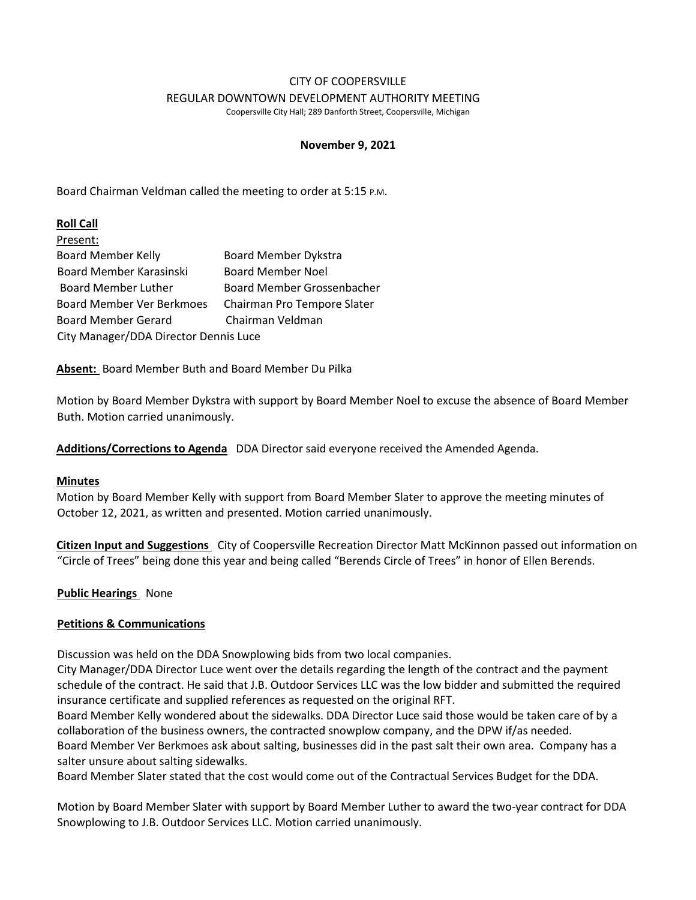## CITY OF COOPERSVILLE REGULAR DOWNTOWN DEVELOPMENT AUTHORITY MEETING

Coopersville City Hall; 289 Danforth Street, Coopersville, Michigan

# **November 9, 2021**

Board Chairman Veldman called the meeting to order at 5:15 P.M.

# **Roll Call**

| Present:                              |                                   |
|---------------------------------------|-----------------------------------|
| <b>Board Member Kelly</b>             | <b>Board Member Dykstra</b>       |
| Board Member Karasinski               | <b>Board Member Noel</b>          |
| <b>Board Member Luther</b>            | <b>Board Member Grossenbacher</b> |
| Board Member Ver Berkmoes             | Chairman Pro Tempore Slater       |
| <b>Board Member Gerard</b>            | Chairman Veldman                  |
| City Manager/DDA Director Dennis Luce |                                   |

**Absent:** Board Member Buth and Board Member Du Pilka

Motion by Board Member Dykstra with support by Board Member Noel to excuse the absence of Board Member Buth. Motion carried unanimously.

**Additions/Corrections to Agenda** DDA Director said everyone received the Amended Agenda.

# **Minutes**

Motion by Board Member Kelly with support from Board Member Slater to approve the meeting minutes of October 12, 2021, as written and presented. Motion carried unanimously.

**Citizen Input and Suggestions** City of Coopersville Recreation Director Matt McKinnon passed out information on "Circle of Trees" being done this year and being called "Berends Circle of Trees" in honor of Ellen Berends.

# **Public Hearings** None

# **Petitions & Communications**

Discussion was held on the DDA Snowplowing bids from two local companies.

City Manager/DDA Director Luce went over the details regarding the length of the contract and the payment schedule of the contract. He said that J.B. Outdoor Services LLC was the low bidder and submitted the required insurance certificate and supplied references as requested on the original RFT.

Board Member Kelly wondered about the sidewalks. DDA Director Luce said those would be taken care of by a collaboration of the business owners, the contracted snowplow company, and the DPW if/as needed.

Board Member Ver Berkmoes ask about salting, businesses did in the past salt their own area. Company has a salter unsure about salting sidewalks.

Board Member Slater stated that the cost would come out of the Contractual Services Budget for the DDA.

Motion by Board Member Slater with support by Board Member Luther to award the two-year contract for DDA Snowplowing to J.B. Outdoor Services LLC. Motion carried unanimously.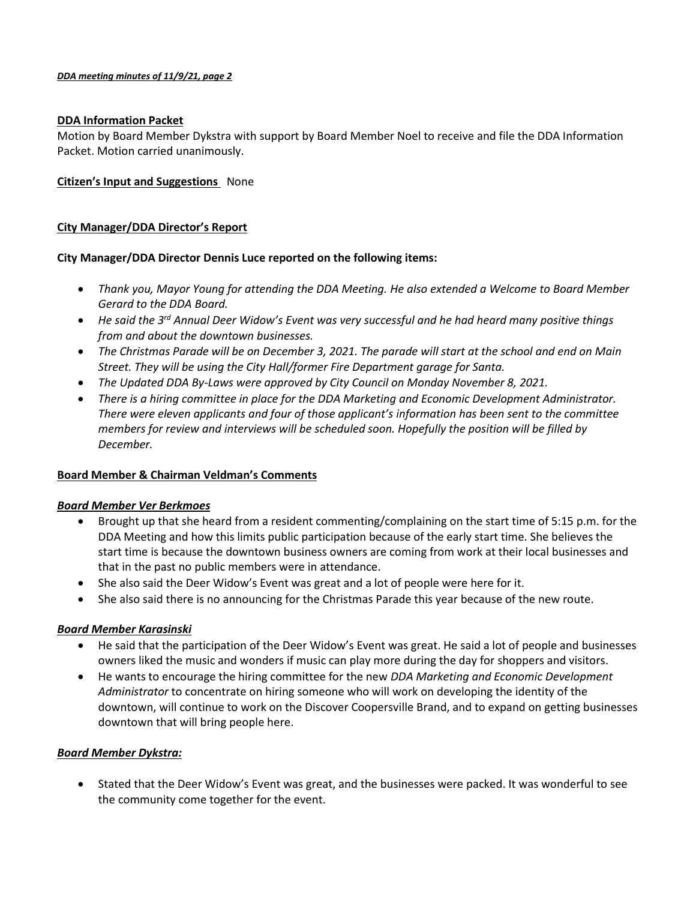#### *DDA meeting minutes of 11/9/21, page 2*

## **DDA Information Packet**

Motion by Board Member Dykstra with support by Board Member Noel to receive and file the DDA Information Packet. Motion carried unanimously.

## **Citizen's Input and Suggestions** None

# **City Manager/DDA Director's Report**

## **City Manager/DDA Director Dennis Luce reported on the following items:**

- *Thank you, Mayor Young for attending the DDA Meeting. He also extended a Welcome to Board Member Gerard to the DDA Board.*
- *He said the 3rd Annual Deer Widow's Event was very successful and he had heard many positive things from and about the downtown businesses.*
- *The Christmas Parade will be on December 3, 2021. The parade will start at the school and end on Main Street. They will be using the City Hall/former Fire Department garage for Santa.*
- *The Updated DDA By-Laws were approved by City Council on Monday November 8, 2021.*
- *There is a hiring committee in place for the DDA Marketing and Economic Development Administrator. There were eleven applicants and four of those applicant's information has been sent to the committee members for review and interviews will be scheduled soon. Hopefully the position will be filled by December.*

# **Board Member & Chairman Veldman's Comments**

#### *Board Member Ver Berkmoes*

- Brought up that she heard from a resident commenting/complaining on the start time of 5:15 p.m. for the DDA Meeting and how this limits public participation because of the early start time. She believes the start time is because the downtown business owners are coming from work at their local businesses and that in the past no public members were in attendance.
- She also said the Deer Widow's Event was great and a lot of people were here for it.
- She also said there is no announcing for the Christmas Parade this year because of the new route.

#### *Board Member Karasinski*

- He said that the participation of the Deer Widow's Event was great. He said a lot of people and businesses owners liked the music and wonders if music can play more during the day for shoppers and visitors.
- He wants to encourage the hiring committee for the new *DDA Marketing and Economic Development Administrator* to concentrate on hiring someone who will work on developing the identity of the downtown, will continue to work on the Discover Coopersville Brand, and to expand on getting businesses downtown that will bring people here.

#### *Board Member Dykstra:*

• Stated that the Deer Widow's Event was great, and the businesses were packed. It was wonderful to see the community come together for the event.